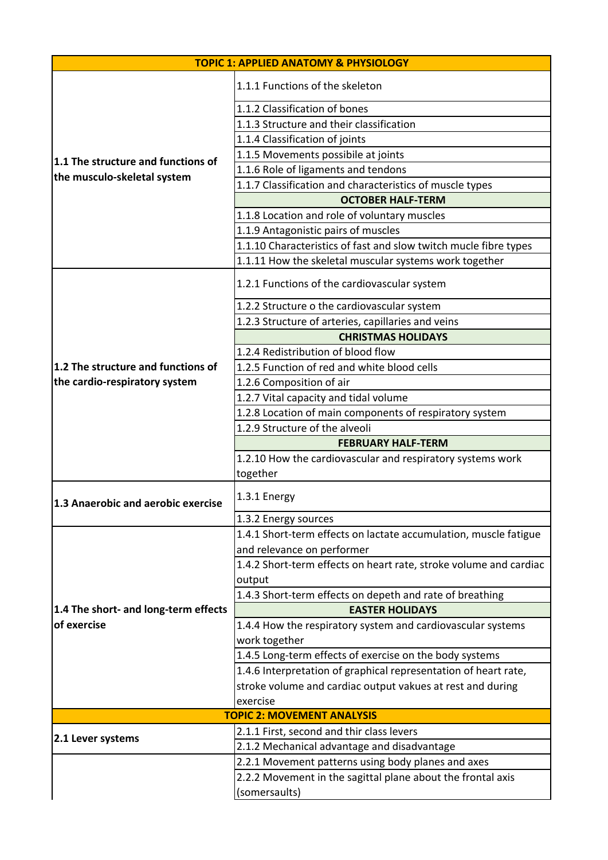| <b>TOPIC 1: APPLIED ANATOMY &amp; PHYSIOLOGY</b>                  |                                                                   |
|-------------------------------------------------------------------|-------------------------------------------------------------------|
| 1.1 The structure and functions of<br>the musculo-skeletal system | 1.1.1 Functions of the skeleton                                   |
|                                                                   | 1.1.2 Classification of bones                                     |
|                                                                   | 1.1.3 Structure and their classification                          |
|                                                                   | 1.1.4 Classification of joints                                    |
|                                                                   | 1.1.5 Movements possibile at joints                               |
|                                                                   | 1.1.6 Role of ligaments and tendons                               |
|                                                                   | 1.1.7 Classification and characteristics of muscle types          |
|                                                                   | <b>OCTOBER HALF-TERM</b>                                          |
|                                                                   | 1.1.8 Location and role of voluntary muscles                      |
|                                                                   | 1.1.9 Antagonistic pairs of muscles                               |
|                                                                   | 1.1.10 Characteristics of fast and slow twitch mucle fibre types  |
|                                                                   | 1.1.11 How the skeletal muscular systems work together            |
|                                                                   | 1.2.1 Functions of the cardiovascular system                      |
|                                                                   | 1.2.2 Structure o the cardiovascular system                       |
|                                                                   | 1.2.3 Structure of arteries, capillaries and veins                |
|                                                                   | <b>CHRISTMAS HOLIDAYS</b>                                         |
|                                                                   | 1.2.4 Redistribution of blood flow                                |
| 1.2 The structure and functions of                                | 1.2.5 Function of red and white blood cells                       |
| the cardio-respiratory system                                     | 1.2.6 Composition of air                                          |
|                                                                   | 1.2.7 Vital capacity and tidal volume                             |
|                                                                   | 1.2.8 Location of main components of respiratory system           |
|                                                                   | 1.2.9 Structure of the alveoli                                    |
|                                                                   | <b>FEBRUARY HALF-TERM</b>                                         |
|                                                                   | 1.2.10 How the cardiovascular and respiratory systems work        |
|                                                                   | together                                                          |
| 1.3 Anaerobic and aerobic exercise                                | 1.3.1 Energy                                                      |
|                                                                   | 1.3.2 Energy sources                                              |
|                                                                   | 1.4.1 Short-term effects on lactate accumulation, muscle fatigue  |
|                                                                   | and relevance on performer                                        |
|                                                                   | 1.4.2 Short-term effects on heart rate, stroke volume and cardiac |
|                                                                   | output                                                            |
|                                                                   | 1.4.3 Short-term effects on depeth and rate of breathing          |
| 1.4 The short- and long-term effects                              | <b>EASTER HOLIDAYS</b>                                            |
| of exercise                                                       | 1.4.4 How the respiratory system and cardiovascular systems       |
|                                                                   | work together                                                     |
|                                                                   | 1.4.5 Long-term effects of exercise on the body systems           |
|                                                                   | 1.4.6 Interpretation of graphical representation of heart rate,   |
|                                                                   | stroke volume and cardiac output vakues at rest and during        |
|                                                                   | exercise                                                          |
| <b>TOPIC 2: MOVEMENT ANALYSIS</b>                                 |                                                                   |
| 2.1 Lever systems                                                 | 2.1.1 First, second and thir class levers                         |
|                                                                   | 2.1.2 Mechanical advantage and disadvantage                       |
|                                                                   | 2.2.1 Movement patterns using body planes and axes                |
|                                                                   | 2.2.2 Movement in the sagittal plane about the frontal axis       |
|                                                                   | (somersaults)                                                     |